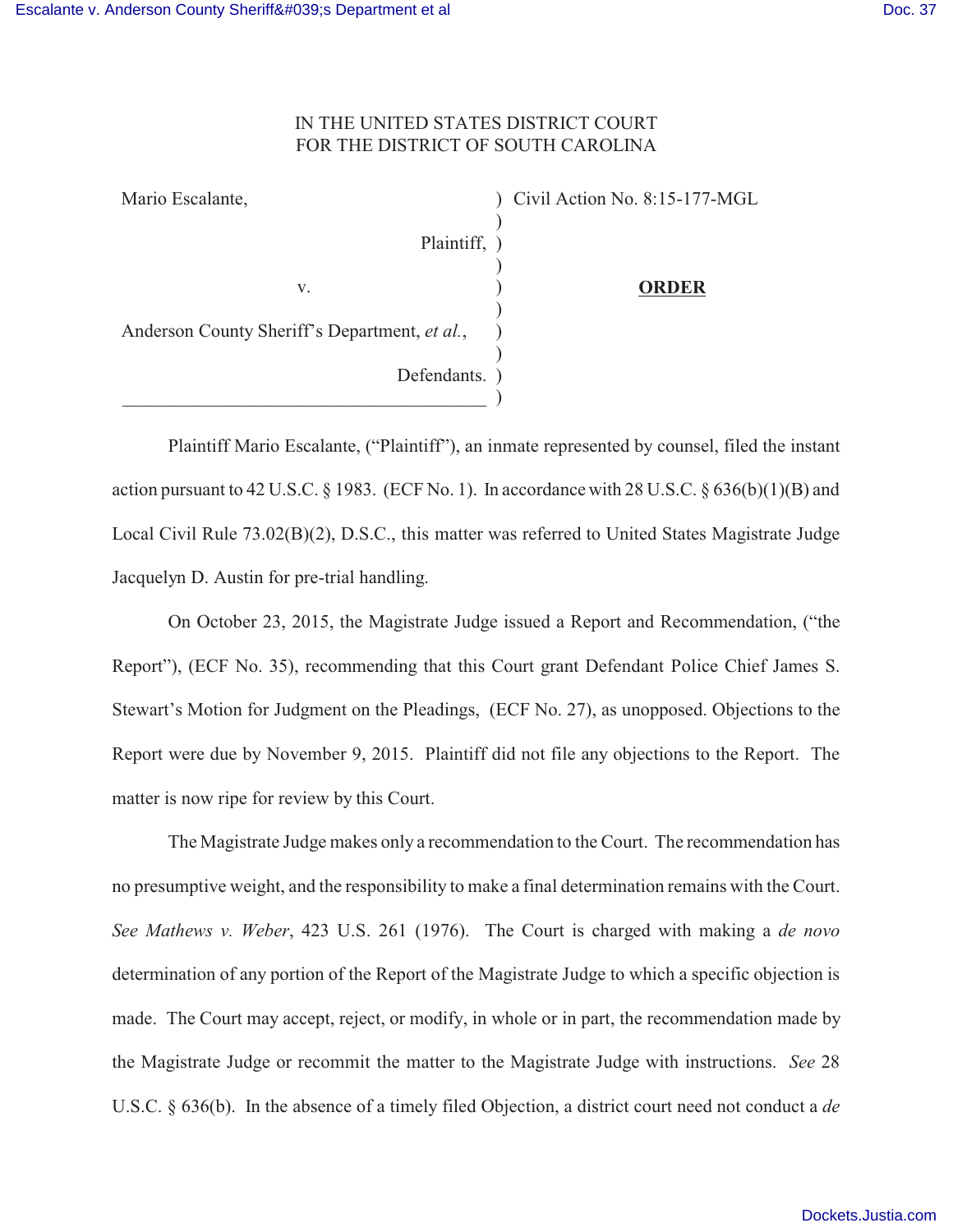## IN THE UNITED STATES DISTRICT COURT FOR THE DISTRICT OF SOUTH CAROLINA

| Mario Escalante,                              | Civil Action No. 8:15-177-MGL |
|-----------------------------------------------|-------------------------------|
| Plaintiff, )                                  |                               |
| V.                                            | <b>ORDER</b>                  |
| Anderson County Sheriff's Department, et al., |                               |
| Defendants.                                   |                               |
|                                               |                               |

Plaintiff Mario Escalante, ("Plaintiff"), an inmate represented by counsel, filed the instant action pursuant to 42 U.S.C. § 1983. (ECF No. 1). In accordance with 28 U.S.C. § 636(b)(1)(B) and Local Civil Rule 73.02(B)(2), D.S.C., this matter was referred to United States Magistrate Judge Jacquelyn D. Austin for pre-trial handling.

On October 23, 2015, the Magistrate Judge issued a Report and Recommendation, ("the Report"), (ECF No. 35), recommending that this Court grant Defendant Police Chief James S. Stewart's Motion for Judgment on the Pleadings, (ECF No. 27), as unopposed. Objections to the Report were due by November 9, 2015. Plaintiff did not file any objections to the Report. The matter is now ripe for review by this Court.

The Magistrate Judge makes only a recommendation to the Court. The recommendation has no presumptive weight, and the responsibility to make a final determination remains with the Court. *See Mathews v. Weber*, 423 U.S. 261 (1976). The Court is charged with making a *de novo* determination of any portion of the Report of the Magistrate Judge to which a specific objection is made. The Court may accept, reject, or modify, in whole or in part, the recommendation made by the Magistrate Judge or recommit the matter to the Magistrate Judge with instructions. *See* 28 U.S.C. § 636(b). In the absence of a timely filed Objection, a district court need not conduct a *de*